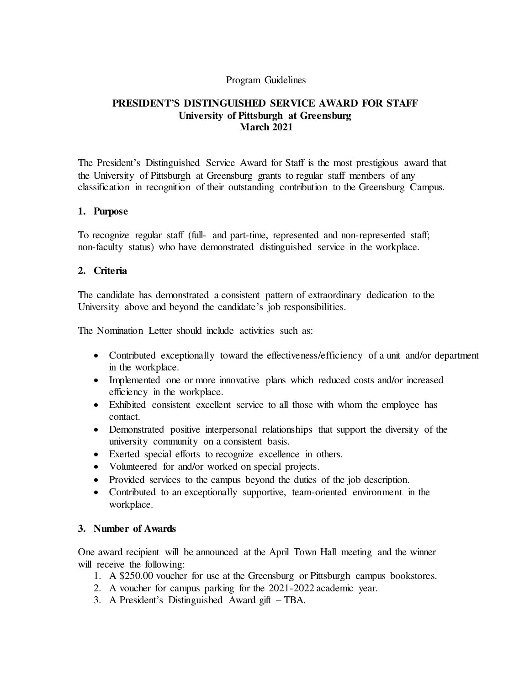#### Program Guidelines

## **PRESIDENT'S DISTINGUISHED SERVICE AWARD FOR STAFF University of Pittsburgh at Greensburg March 2021**

The President's Distinguished Service Award for Staff is the most prestigious award that the University of Pittsburgh at Greensburg grants to regular staff members of any classification in recognition of their outstanding contribution to the Greensburg Campus.

#### **1. Purpose**

To recognize regular staff (full- and part-time, represented and non-represented staff; non-faculty status) who have demonstrated distinguished service in the workplace.

### **2. Criteria**

The candidate has demonstrated a consistent pattern of extraordinary dedication to the University above and beyond the candidate's job responsibilities.

The Nomination Letter should include activities such as:

- Contributed exceptionally toward the effectiveness/efficiency of a unit and/or department in the workplace.
- Implemented one or more innovative plans which reduced costs and/or increased efficiency in the workplace.
- Exhibited consistent excellent service to all those with whom the employee has contact.
- Demonstrated positive interpersonal relationships that support the diversity of the university community on a consistent basis.
- Exerted special efforts to recognize excellence in others.
- Volunteered for and/or worked on special projects.
- Provided services to the campus beyond the duties of the job description.
- Contributed to an exceptionally supportive, team-oriented environment in the workplace.

### **3. Number of Awards**

One award recipient will be announced at the April Town Hall meeting and the winner will receive the following:

- 1. A \$250.00 voucher for use at the Greensburg or Pittsburgh campus bookstores.
- 2. A voucher for campus parking for the 2021-2022 academic year.
- 3. A President's Distinguished Award gift TBA.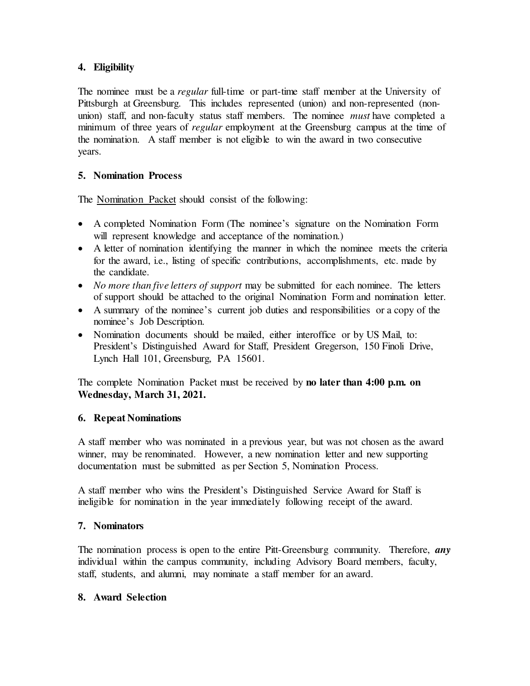## **4. Eligibility**

The nominee must be a *regular* full-time or part-time staff member at the University of Pittsburgh at Greensburg. This includes represented (union) and non-represented (nonunion) staff, and non-faculty status staff members. The nominee *must* have completed a minimum of three years of *regular* employment at the Greensburg campus at the time of the nomination. A staff member is not eligible to win the award in two consecutive years.

## **5. Nomination Process**

The Nomination Packet should consist of the following:

- A completed Nomination Form (The nominee's signature on the Nomination Form will represent knowledge and acceptance of the nomination.)
- A letter of nomination identifying the manner in which the nominee meets the criteria for the award, i.e., listing of specific contributions, accomplishments, etc. made by the candidate.
- *No more than five letters of support* may be submitted for each nominee. The letters of support should be attached to the original Nomination Form and nomination letter.
- A summary of the nominee's current job duties and responsibilities or a copy of the nominee's Job Description.
- Nomination documents should be mailed, either interoffice or by US Mail, to: President's Distinguished Award for Staff, President Gregerson, 150 Finoli Drive, Lynch Hall 101, Greensburg, PA 15601.

The complete Nomination Packet must be received by **no later than 4:00 p.m. on Wednesday, March 31, 2021.**

### **6. Repeat Nominations**

A staff member who was nominated in a previous year, but was not chosen as the award winner, may be renominated. However, a new nomination letter and new supporting documentation must be submitted as per Section 5, Nomination Process.

A staff member who wins the President's Distinguished Service Award for Staff is ineligible for nomination in the year immediately following receipt of the award.

# **7. Nominators**

The nomination process is open to the entire Pitt-Greensburg community. Therefore, *any* individual within the campus community, including Advisory Board members, faculty, staff, students, and alumni, may nominate a staff member for an award.

### **8. Award Selection**